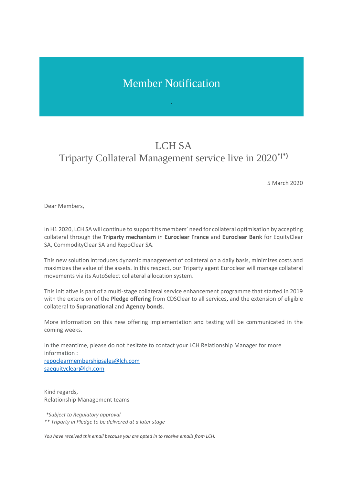## Member Notification

## LCH SA Triparty Collateral Management service live in 2020**\*(\*)**

5 March 2020

Dear Members,

In H1 2020, LCH SA will continue to support its members' need for collateral optimisation by accepting collateral through the **Triparty mechanism** in **Euroclear France** and **Euroclear Bank** for EquityClear SA, CommodityClear SA and RepoClear SA.

This new solution introduces dynamic management of collateral on a daily basis, minimizes costs and maximizes the value of the assets. In this respect, our Triparty agent Euroclear will manage collateral movements via its AutoSelect collateral allocation system.

This initiative is part of a multi-stage collateral service enhancement programme that started in 2019 with the extension of the **Pledge offering** from CDSClear to all services, and the extension of eligible collateral to **Supranational** and **Agency bonds**.

More information on this new offering implementation and testing will be communicated in the coming weeks.

In the meantime, please do not hesitate to contact your LCH Relationship Manager for more information : [repoclearmembershipsales@lch.com](mailto:repoclearmembershipsales@lch.com)

[saequityclear@lch.com](mailto:saequityclear@lch.com)

Kind regards, Relationship Management teams

*\*Subject to Regulatory approval \*\* Triparty in Pledge to be delivered at a later stage*

*You have received this email because you are opted in to receive emails from LCH.*